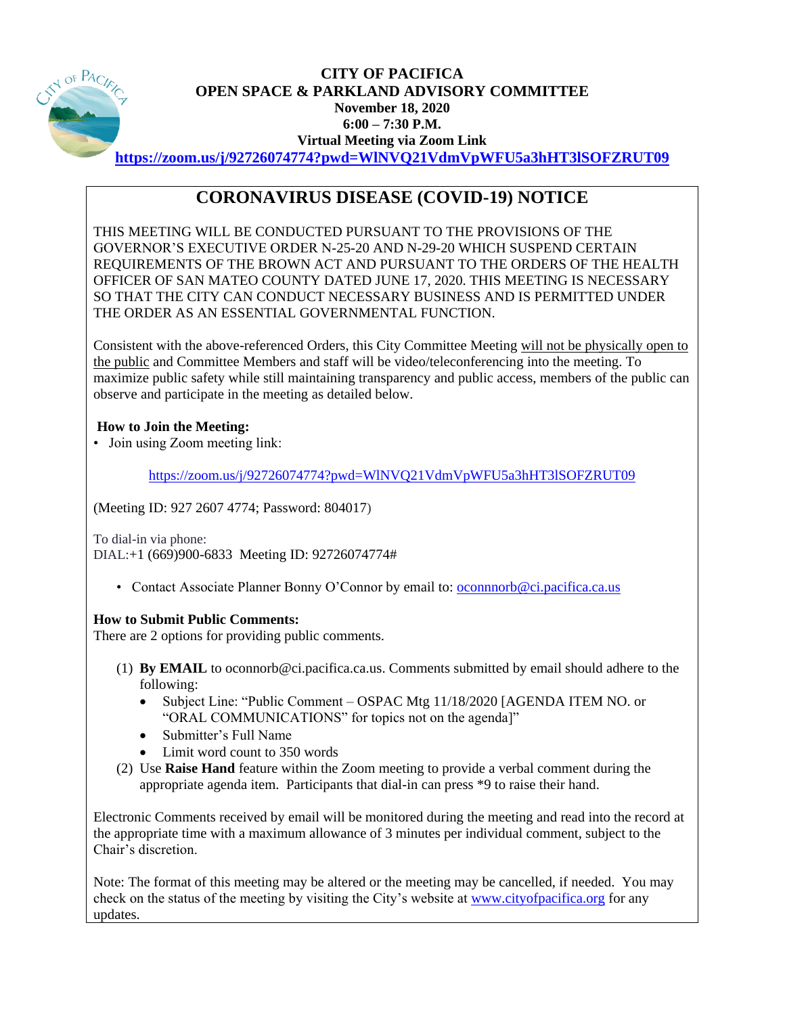

# **CITY OF PACIFICA OPEN SPACE & PARKLAND ADVISORY COMMITTEE November 18, 2020 6:00 – 7:30 P.M. Virtual Meeting via Zoom Link <https://zoom.us/j/92726074774?pwd=WlNVQ21VdmVpWFU5a3hHT3lSOFZRUT09>**

# **CORONAVIRUS DISEASE (COVID-19) NOTICE**

THIS MEETING WILL BE CONDUCTED PURSUANT TO THE PROVISIONS OF THE GOVERNOR'S EXECUTIVE ORDER N-25-20 AND N-29-20 WHICH SUSPEND CERTAIN REQUIREMENTS OF THE BROWN ACT AND PURSUANT TO THE ORDERS OF THE HEALTH OFFICER OF SAN MATEO COUNTY DATED JUNE 17, 2020. THIS MEETING IS NECESSARY SO THAT THE CITY CAN CONDUCT NECESSARY BUSINESS AND IS PERMITTED UNDER THE ORDER AS AN ESSENTIAL GOVERNMENTAL FUNCTION.

Consistent with the above-referenced Orders, this City Committee Meeting will not be physically open to the public and Committee Members and staff will be video/teleconferencing into the meeting. To maximize public safety while still maintaining transparency and public access, members of the public can observe and participate in the meeting as detailed below.

# **How to Join the Meeting:**

• Join using Zoom meeting link:

<https://zoom.us/j/92726074774?pwd=WlNVQ21VdmVpWFU5a3hHT3lSOFZRUT09>

(Meeting ID: 927 2607 4774; Password: 804017)

To dial-in via phone: DIAL:+1 (669)900-6833 Meeting ID: 92726074774#

• Contact Associate Planner Bonny O'Connor by email to: [oconnnorb@ci.pacifica.ca.us](mailto:oconnnorb@ci.pacifica.ca.us)

# **How to Submit Public Comments:**

There are 2 options for providing public comments.

- (1) **By EMAIL** to oconnorb@ci.pacifica.ca.us. Comments submitted by email should adhere to the following:
	- Subject Line: "Public Comment OSPAC Mtg 11/18/2020 [AGENDA ITEM NO. or "ORAL COMMUNICATIONS" for topics not on the agenda]"
	- Submitter's Full Name
	- Limit word count to 350 words
- (2) Use **Raise Hand** feature within the Zoom meeting to provide a verbal comment during the appropriate agenda item. Participants that dial-in can press \*9 to raise their hand.

Electronic Comments received by email will be monitored during the meeting and read into the record at the appropriate time with a maximum allowance of 3 minutes per individual comment, subject to the Chair's discretion.

Note: The format of this meeting may be altered or the meeting may be cancelled, if needed. You may check on the status of the meeting by visiting the City's website at [www.cityofpacifica.org](http://www.cityofpacifica.org/) for any updates.